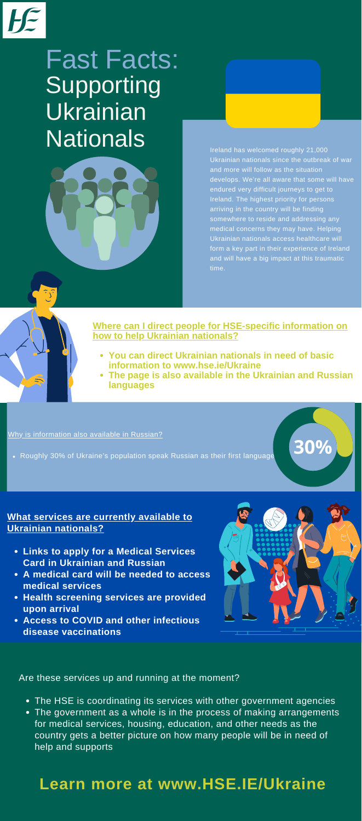- **Links to apply for a Medical Services Card in [Ukrainian](https://www2.hse.ie/services/healthcare-in-ireland/ukraine-nationals-uk.html) and [Russian](https://www2.hse.ie/services/healthcare-in-ireland/ukraine-nationals-ru.html)**
- **A medical card will be needed to access medical services**
- **Health screening services are provided upon arrival**
- **Access to COVID and other infectious disease vaccinations**



## **What services are currently available to Ukrainian nationals?**



# Fast Facts: Supporting Ukrainian **Nationals**

Ireland has welcomed roughly 21,000 Ukrainian nationals since the outbreak of war and more will follow as the situation develops. We're all aware that some will have endured very difficult journeys to get to Ireland. The highest priority for persons arriving in the country will be finding somewhere to reside and addressing any medical concerns they may have. Helping Ukrainian nationals access healthcare will form a key part in their experience of Ireland and will have a big impact at this traumatic time.

# **Learn more at www.HSE.IE/Ukraine**

- **You can direct Ukrainian nationals in need of basic information to [www.hse.ie/Ukraine](http://www.hse.ie/Ukraine)**
- **The page is also available in the Ukrainian and Russian languages**

Why is information also available in Russian?

### **Where can I direct people for HSE-specific information on how to help Ukrainian nationals?**

- The HSE is coordinating its services with other government agencies
- The government as a whole is in the process of making arrangements for medical services, housing, education, and other needs as the country gets a better picture on how many people will be in need of help and supports

Are these services up and running at the moment?



• Roughly 30% of Ukraine's population speak Russian as their first language